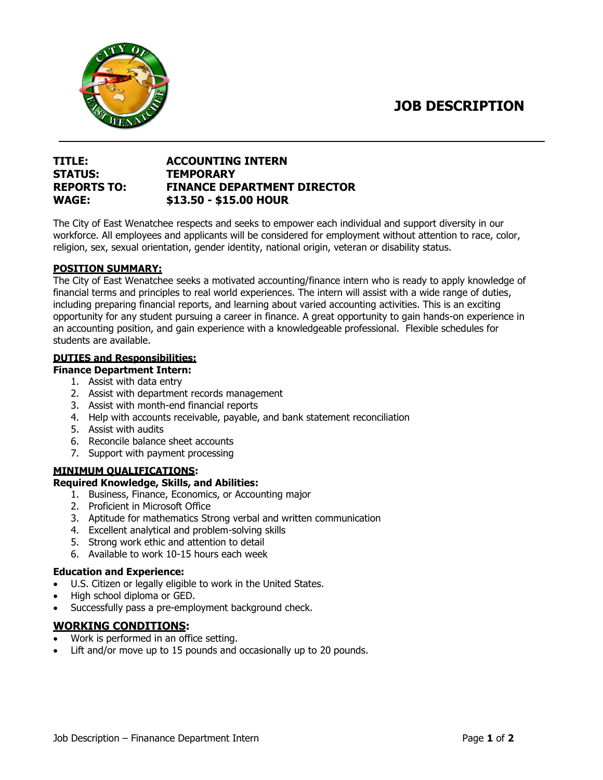**JOB DESCRIPTION**



# **TITLE: ACCOUNTING INTERN STATUS: TEMPORARY REPORTS TO: FINANCE DEPARTMENT DIRECTOR WAGE: \$13.50 - \$15.00 HOUR**

The City of East Wenatchee respects and seeks to empower each individual and support diversity in our workforce. All employees and applicants will be considered for employment without attention to race, color, religion, sex, sexual orientation, gender identity, national origin, veteran or disability status.

### **POSITION SUMMARY:**

The City of East Wenatchee seeks a motivated accounting/finance intern who is ready to apply knowledge of financial terms and principles to real world experiences. The intern will assist with a wide range of duties, including preparing financial reports, and learning about varied accounting activities. This is an exciting opportunity for any student pursuing a career in finance. A great opportunity to gain hands-on experience in an accounting position, and gain experience with a knowledgeable professional. Flexible schedules for students are available.

### **DUTIES and Responsibilities:**

#### **Finance Department Intern:**

- 1. Assist with data entry
- 2. Assist with department records management
- 3. Assist with month-end financial reports
- 4. Help with accounts receivable, payable, and bank statement reconciliation
- 5. Assist with audits
- 6. Reconcile balance sheet accounts
- 7. Support with payment processing

# **MINIMUM QUALIFICATIONS:**

#### **Required Knowledge, Skills, and Abilities:**

- 1. Business, Finance, Economics, or Accounting major
- 2. Proficient in Microsoft Office
- 3. Aptitude for mathematics Strong verbal and written communication
- 4. Excellent analytical and problem-solving skills
- 5. Strong work ethic and attention to detail
- 6. Available to work 10-15 hours each week

#### **Education and Experience:**

- U.S. Citizen or legally eligible to work in the United States.
- High school diploma or GED.
- Successfully pass a pre-employment background check.

# **WORKING CONDITIONS:**

- Work is performed in an office setting.
- Lift and/or move up to 15 pounds and occasionally up to 20 pounds.